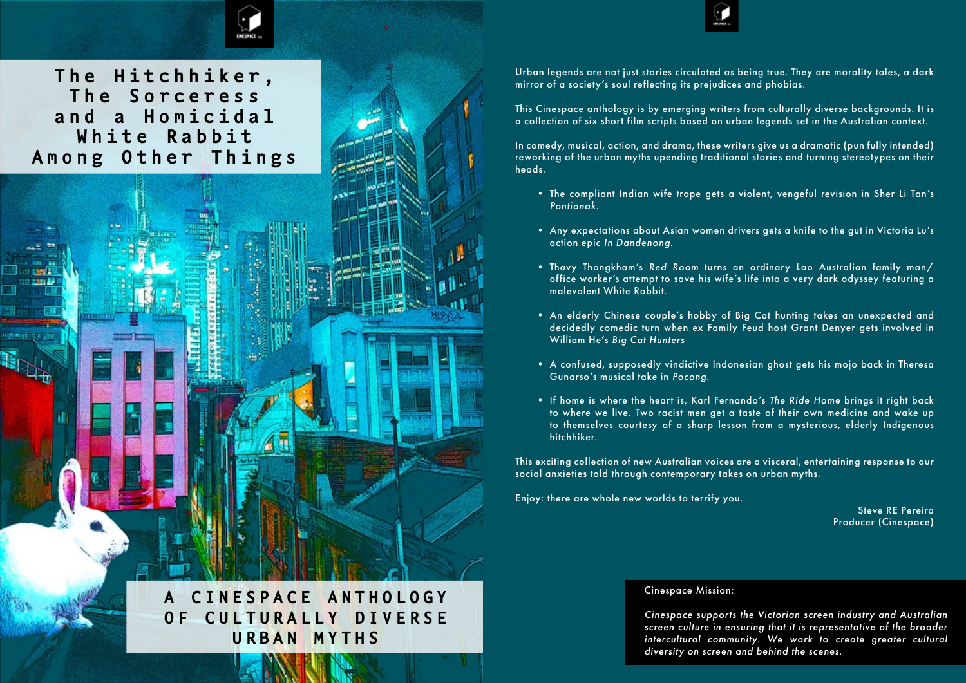

**A C I N E S P A C E A N T H O L O G Y**  OF CULTURALLY DIVERSE **URBAN MYTHS**

Urban legends are not just stories circulated as being true. They are morality tales, a dark mirror of a society's soul reflecting its prejudices and phobias.

This Cinespace anthology is by emerging writers from culturally diverse backgrounds. It is a collection of six short film scripts based on urban legends set in the Australian context.

• An elderly Chinese couple's hobby of Big Cat hunting takes an unexpected and decidedly comedic turn when ex Family Feud host Grant Denyer gets involved in

In comedy, musical, action, and drama, these writers give us a dramatic (pun fully intended) reworking of the urban myths upending traditional stories and turning stereotypes on their heads.

• The compliant Indian wife trope gets a violent, vengeful revision in Sher Li Tan's

• Any expectations about Asian women drivers gets a knife to the gut in Victoria Lu's

• Thavy Thongkham's *Red Room* turns an ordinary Lao Australian family man/ office worker's attempt to save his wife's life into a very dark odyssey featuring a

- *Pontianak*.
- action epic *In Dandenong*.
- malevolent White Rabbit.
- William He's *Big Cat Hunters*
- Gunarso's musical take in *Pocong*.
- hitchhiker.

• A confused, supposedly vindictive Indonesian ghost gets his mojo back in Theresa

• If home is where the heart is, Karl Fernando's *The Ride Home* brings it right back to where we live. Two racist men get a taste of their own medicine and wake up to themselves courtesy of a sharp lesson from a mysterious, elderly Indigenous

This exciting collection of new Australian voices are a visceral, entertaining response to our social anxieties told through contemporary takes on urban myths.

Enjoy: there are whole new worlds to terrify you.

 Steve RE Pereira Producer (Cinespace)

# Cinespace Mission:

*Cinespace supports the Victorian screen industry and Australian screen culture in ensuring that it is representative of the broader intercultural community. We work to create greater cultural diversity on screen and behind the scenes.* 

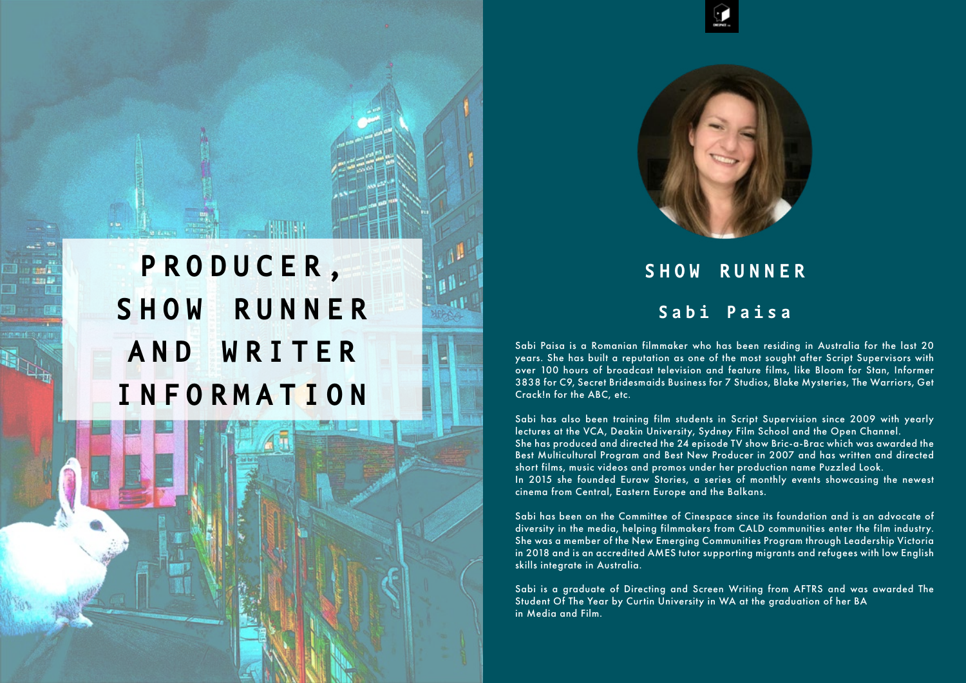



Sabi Paisa is a Romanian filmmaker who has been residing in Australia for the last 20 years. She has built a reputation as one of the most sought after Script Supervisors with over 100 hours of broadcast television and feature films, like Bloom for Stan, Informer 3838 for C9, Secret Bridesmaids Business for 7 Studios, Blake Mysteries, The Warriors, Get Crack!n for the ABC, etc.

Sabi has also been training film students in Script Supervision since 2009 with yearly lectures at the VCA, Deakin University, Sydney Film School and the Open Channel. She has produced and directed the 24 episode TV show Bric-a-Brac which was awarded the Best Multicultural Program and Best New Producer in 2007 and has written and directed short films, music videos and promos under her production name Puzzled Look. In 2015 she founded Euraw Stories, a series of monthly events showcasing the newest cinema from Central, Eastern Europe and the Balkans.

Sabi has been on the Committee of Cinespace since its foundation and is an advocate of diversity in the media, helping filmmakers from CALD communities enter the film industry. She was a member of the New Emerging Communities Program through Leadership Victoria in 2018 and is an accredited AMES tutor supporting migrants and refugees with low English skills integrate in Australia.

Sabi is a graduate of Directing and Screen Writing from AFTRS and was awarded The Student Of The Year by Curtin University in WA at the graduation of her BA in Media and Film.

# **S H O W R U N N E R Sabi Paisa**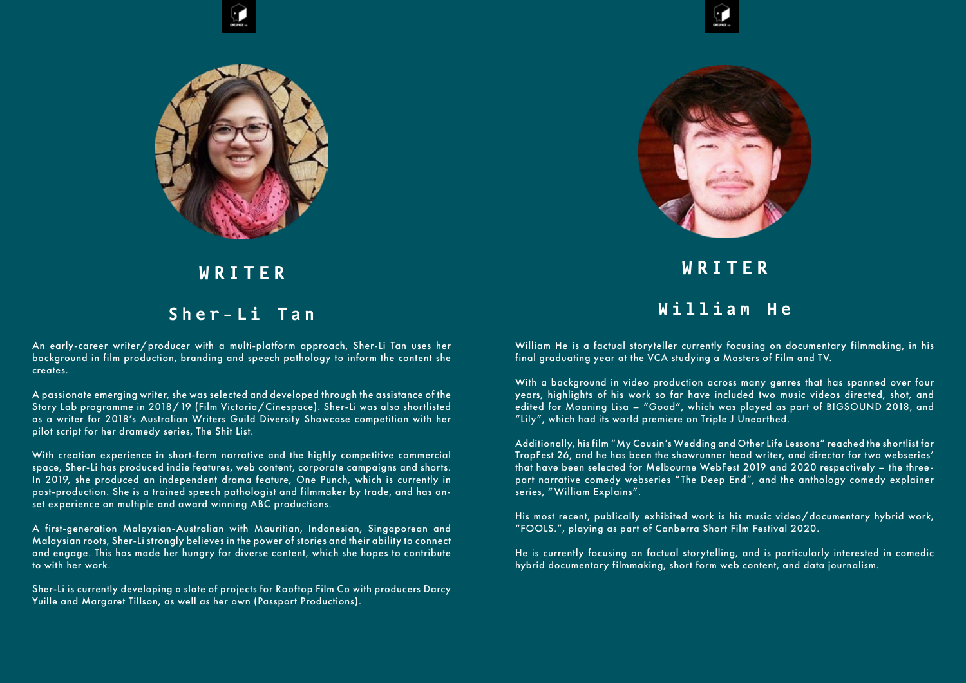An early-career writer/producer with a multi-platform approach, Sher-Li Tan uses her background in film production, branding and speech pathology to inform the content she creates.

A passionate emerging writer, she was selected and developed through the assistance of the Story Lab programme in 2018/19 (Film Victoria/Cinespace). Sher-Li was also shortlisted as a writer for 2018's Australian Writers Guild Diversity Showcase competition with her pilot script for her dramedy series, The Shit List.

With creation experience in short-form narrative and the highly competitive commercial space, Sher-Li has produced indie features, web content, corporate campaigns and shorts. In 2019, she produced an independent drama feature, One Punch, which is currently in post-production. She is a trained speech pathologist and filmmaker by trade, and has onset experience on multiple and award winning ABC productions.

A first-generation Malaysian-Australian with Mauritian, Indonesian, Singaporean and Malaysian roots, Sher-Li strongly believes in the power of stories and their ability to connect and engage. This has made her hungry for diverse content, which she hopes to contribute to with her work.

Sher-Li is currently developing a slate of projects for Rooftop Film Co with producers Darcy Yuille and Margaret Tillson, as well as her own (Passport Productions).







# **W R I T E R**

# **Sher-Li Tan**

William He is a factual storyteller currently focusing on documentary filmmaking, in his final graduating year at the VCA studying a Masters of Film and TV.

With a background in video production across many genres that has spanned over four years, highlights of his work so far have included two music videos directed, shot, and edited for Moaning Lisa – "Good", which was played as part of BIGSOUND 2018, and "Lily", which had its world premiere on Triple J Unearthed.

Additionally, his film "My Cousin's Wedding and Other Life Lessons" reached the shortlist for TropFest 26, and he has been the showrunner head writer, and director for two webseries' that have been selected for Melbourne WebFest 2019 and 2020 respectively – the threepart narrative comedy webseries "The Deep End", and the anthology comedy explainer series, " William Explains".

His most recent, publically exhibited work is his music video/documentary hybrid work, "FOOLS.", playing as part of Canberra Short Film Festival 2020.

He is currently focusing on factual storytelling, and is particularly interested in comedic hybrid documentary filmmaking, short form web content, and data journalism.

**W R I T E R W i l l i a m H e**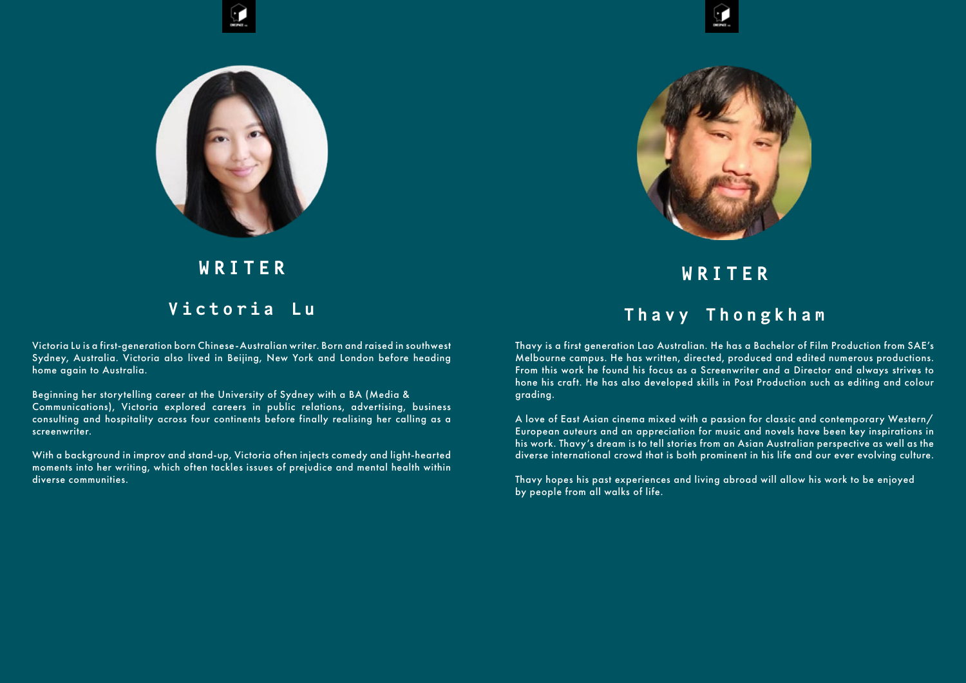Victoria Lu is a first-generation born Chinese-Australian writer. Born and raised in southwest Sydney, Australia. Victoria also lived in Beijing, New York and London before heading home again to Australia.

Beginning her storytelling career at the University of Sydney with a BA (Media & Communications), Victoria explored careers in public relations, advertising, business consulting and hospitality across four continents before finally realising her calling as a screenwriter.

With a background in improv and stand-up, Victoria often injects comedy and light-hearted moments into her writing, which often tackles issues of prejudice and mental health within diverse communities.







# **W R I T E R**

# **V i c t o r i a L u**

Thavy is a first generation Lao Australian. He has a Bachelor of Film Production from SAE's Melbourne campus. He has written, directed, produced and edited numerous productions. From this work he found his focus as a Screenwriter and a Director and always strives to hone his craft. He has also developed skills in Post Production such as editing and colour grading.

A love of East Asian cinema mixed with a passion for classic and contemporary Western/ European auteurs and an appreciation for music and novels have been key inspirations in his work. Thavy's dream is to tell stories from an Asian Australian perspective as well as the diverse international crowd that is both prominent in his life and our ever evolving culture.

Thavy hopes his past experiences and living abroad will allow his work to be enjoyed by people from all walks of life.

**W R I T E R** 

# **T h a v y T h o n g k h a m**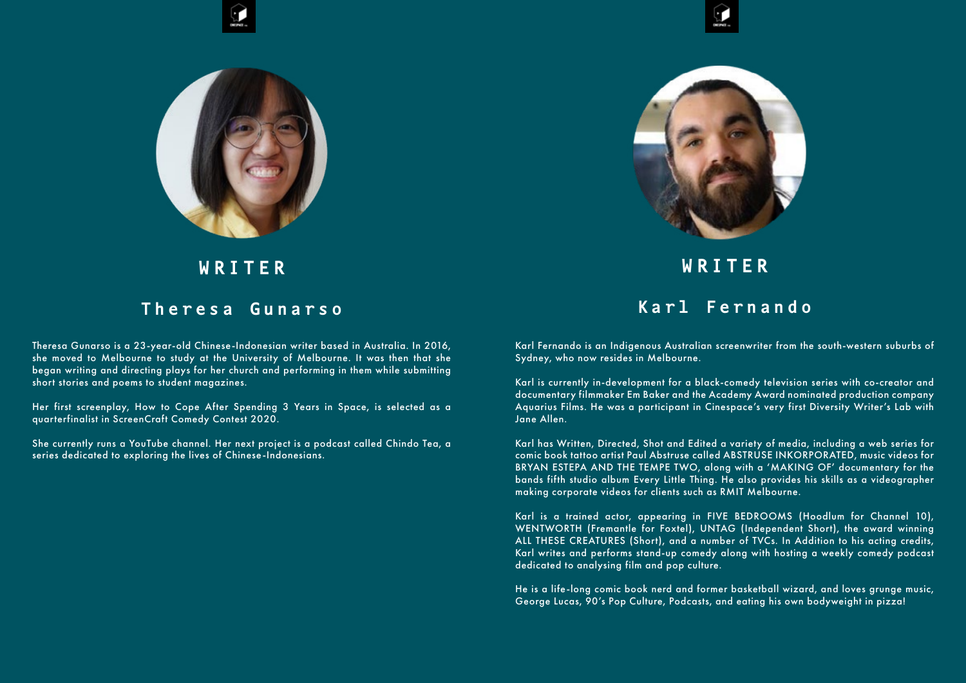Theresa Gunarso is a 23-year-old Chinese-Indonesian writer based in Australia. In 2016, she moved to Melbourne to study at the University of Melbourne. It was then that she began writing and directing plays for her church and performing in them while submitting short stories and poems to student magazines.

Her first screenplay, How to Cope After Spending 3 Years in Space, is selected as a quarterfinalist in ScreenCraft Comedy Contest 2020.

She currently runs a YouTube channel. Her next project is a podcast called Chindo Tea, a series dedicated to exploring the lives of Chinese-Indonesians.







# **W R I T E R**

# **T h e r e s a G u n a r s o**

Karl Fernando is an Indigenous Australian screenwriter from the south-western suburbs of Sydney, who now resides in Melbourne.

Karl is currently in-development for a black-comedy television series with co-creator and documentary filmmaker Em Baker and the Academy Award nominated production company Aquarius Films. He was a participant in Cinespace's very first Diversity Writer's Lab with Jane Allen.

Karl has Written, Directed, Shot and Edited a variety of media, including a web series for comic book tattoo artist Paul Abstruse called ABSTRUSE INKORPORATED, music videos for BRYAN ESTEPA AND THE TEMPE TWO, along with a 'MAKING OF' documentary for the bands fifth studio album Every Little Thing. He also provides his skills as a videographer making corporate videos for clients such as RMIT Melbourne.

Karl is a trained actor, appearing in FIVE BEDROOMS (Hoodlum for Channel 10), WENTWORTH (Fremantle for Foxtel), UNTAG (Independent Short), the award winning ALL THESE CREATURES (Short), and a number of TVCs. In Addition to his acting credits, Karl writes and performs stand-up comedy along with hosting a weekly comedy podcast dedicated to analysing film and pop culture.

He is a life-long comic book nerd and former basketball wizard, and loves grunge music, George Lucas, 90's Pop Culture, Podcasts, and eating his own bodyweight in pizza!

**W R I T E R** 

# **K a r l F e r n a n d o**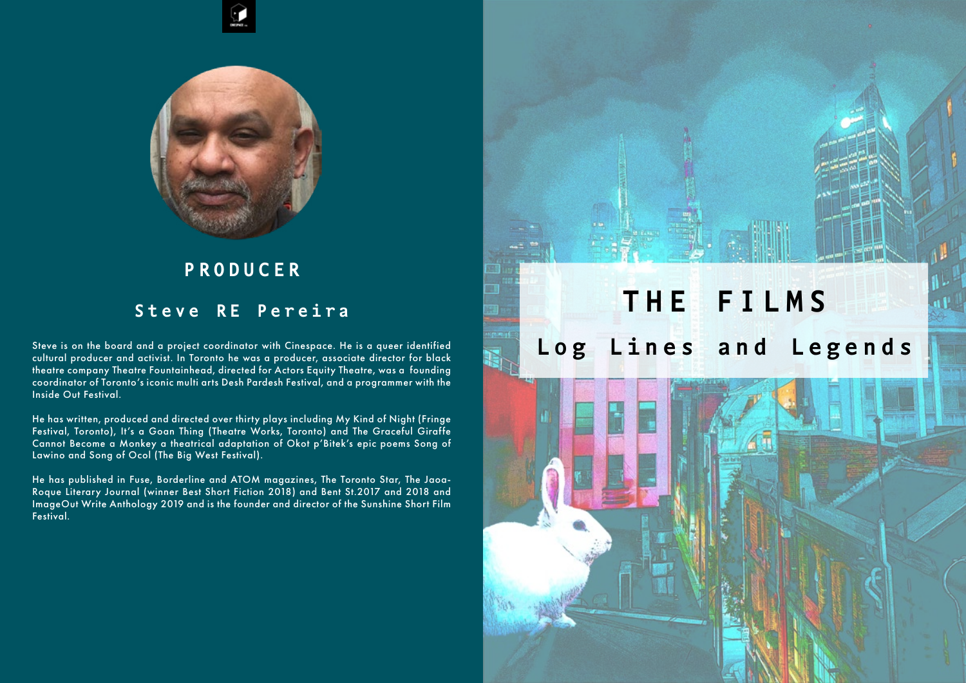Steve is on the board and a project coordinator with Cinespace. He is a queer identified cultural producer and activist. In Toronto he was a producer, associate director for black theatre company Theatre Fountainhead, directed for Actors Equity Theatre, was a founding coordinator of Toronto's iconic multi arts Desh Pardesh Festival, and a programmer with the Inside Out Festival.

He has written, produced and directed over thirty plays including My Kind of Night (Fringe Festival, Toronto), It's a Goan Thing (Theatre Works, Toronto) and The Graceful Giraffe Cannot Become a Monkey a theatrical adaptation of Okot p'Bitek's epic poems Song of Lawino and Song of Ocol (The Big West Festival).

He has published in Fuse, Borderline and ATOM magazines, The Toronto Star, The Jaoa-Roque Literary Journal (winner Best Short Fiction 2018) and Bent St.2017 and 2018 and ImageOut Write Anthology 2019 and is the founder and director of the Sunshine Short Film Festival.





# **P R O D U C E R**

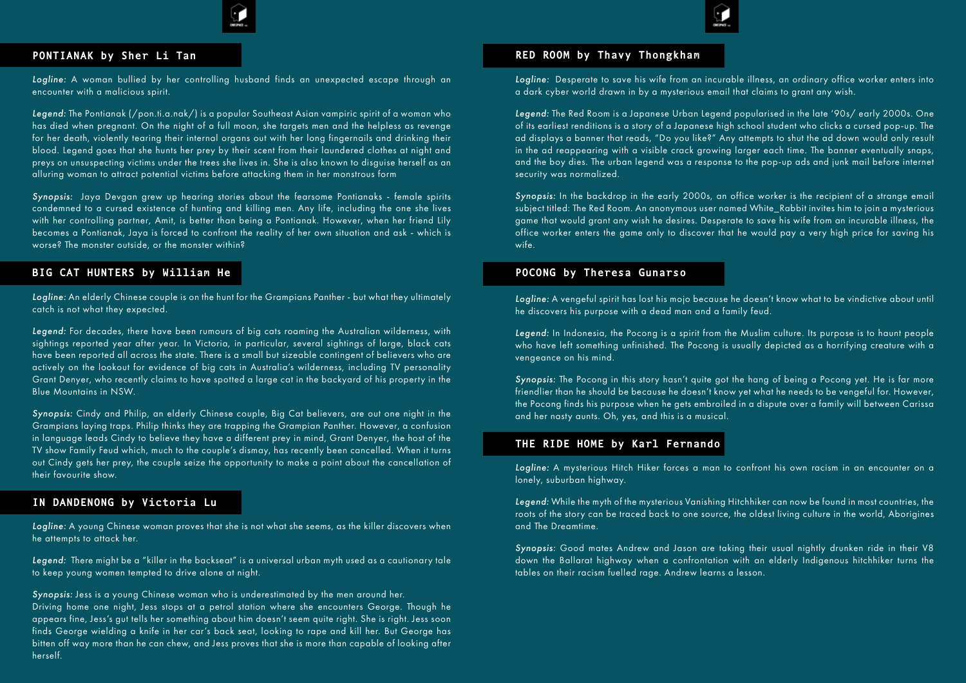## **PONTIANAK by Sher Li Tan**

*Logline:* A woman bullied by her controlling husband finds an unexpected escape through an encounter with a malicious spirit.

Legend: The Pontianak (/pon.ti.a.nak/) is a popular Southeast Asian vampiric spirit of a woman who has died when pregnant. On the night of a full moon, she targets men and the helpless as revenge for her death, violently tearing their internal organs out with her long fingernails and drinking their blood. Legend goes that she hunts her prey by their scent from their laundered clothes at night and preys on unsuspecting victims under the trees she lives in. She is also known to disguise herself as an alluring woman to attract potential victims before attacking them in her monstrous form

*Synopsis:* Jaya Devgan grew up hearing stories about the fearsome Pontianaks - female spirits condemned to a cursed existence of hunting and killing men. Any life, including the one she lives with her controlling partner, Amit, is better than being a Pontianak. However, when her friend Lily becomes a Pontianak, Jaya is forced to confront the reality of her own situation and ask - which is worse? The monster outside, or the monster within?

# **BIG CAT HUNTERS by William He**

*Logline:* An elderly Chinese couple is on the hunt for the Grampians Panther - but what they ultimately catch is not what they expected.

*Legend:* For decades, there have been rumours of big cats roaming the Australian wilderness, with sightings reported year after year. In Victoria, in particular, several sightings of large, black cats have been reported all across the state. There is a small but sizeable contingent of believers who are actively on the lookout for evidence of big cats in Australia's wilderness, including TV personality Grant Denyer, who recently claims to have spotted a large cat in the backyard of his property in the Blue Mountains in NSW.

*Synopsis:* Cindy and Philip, an elderly Chinese couple, Big Cat believers, are out one night in the Grampians laying traps. Philip thinks they are trapping the Grampian Panther. However, a confusion in language leads Cindy to believe they have a different prey in mind, Grant Denyer, the host of the TV show Family Feud which, much to the couple's dismay, has recently been cancelled. When it turns out Cindy gets her prey, the couple seize the opportunity to make a point about the cancellation of their favourite show.

# **IN DANDENONG by Victoria Lu**

*Logline:* A young Chinese woman proves that she is not what she seems, as the killer discovers when he attempts to attack her.

*Legend:* There might be a "killer in the backseat" is a universal urban myth used as a cautionary tale to keep young women tempted to drive alone at night.

*Synopsis:* Jess is a young Chinese woman who is underestimated by the men around her. Driving home one night, Jess stops at a petrol station where she encounters George. Though he appears fine, Jess's gut tells her something about him doesn't seem quite right. She is right. Jess soon finds George wielding a knife in her car's back seat, looking to rape and kill her. But George has bitten off way more than he can chew, and Jess proves that she is more than capable of looking after herself.

# **RED ROOM by Thavy Thongkham**

*Logline:* Desperate to save his wife from an incurable illness, an ordinary office worker enters into a dark cyber world drawn in by a mysterious email that claims to grant any wish.

*Legend:* The Red Room is a Japanese Urban Legend popularised in the late '90s/ early 2000s. One of its earliest renditions is a story of a Japanese high school student who clicks a cursed pop-up. The ad displays a banner that reads, "Do you like?" Any attempts to shut the ad down would only result in the ad reappearing with a visible crack growing larger each time. The banner eventually snaps, and the boy dies. The urban legend was a response to the pop-up ads and junk mail before internet security was normalized.

*Synopsis:* In the backdrop in the early 2000s, an office worker is the recipient of a strange email subject titled: The Red Room. An anonymous user named White\_Rabbit invites him to join a mysterious game that would grant any wish he desires. Desperate to save his wife from an incurable illness, the office worker enters the game only to discover that he would pay a very high price for saving his wife.

# **POCONG by Theresa Gunarso**

# *Logline:* A vengeful spirit has lost his mojo because he doesn't know what to be vindictive about until

he discovers his purpose with a dead man and a family feud.

*Legend:* In Indonesia, the Pocong is a spirit from the Muslim culture. Its purpose is to haunt people who have left something unfinished. The Pocong is usually depicted as a horrifying creature with a vengeance on his mind.

*Synopsis:* The Pocong in this story hasn't quite got the hang of being a Pocong yet. He is far more friendlier than he should be because he doesn't know yet what he needs to be vengeful for. However, the Pocong finds his purpose when he gets embroiled in a dispute over a family will between Carissa and her nasty aunts. Oh, yes, and this is a musical.

# **THE RIDE HOME by Karl Fernando**

# *Logline:* A mysterious Hitch Hiker forces a man to confront his own racism in an encounter on a

lonely, suburban highway.

*Legend:* While the myth of the mysterious Vanishing Hitchhiker can now be found in most countries, the roots of the story can be traced back to one source, the oldest living culture in the world, Aborigines and The Dreamtime.

*Synopsis:* Good mates Andrew and Jason are taking their usual nightly drunken ride in their V8 down the Ballarat highway when a confrontation with an elderly Indigenous hitchhiker turns the tables on their racism fuelled rage. Andrew learns a lesson.

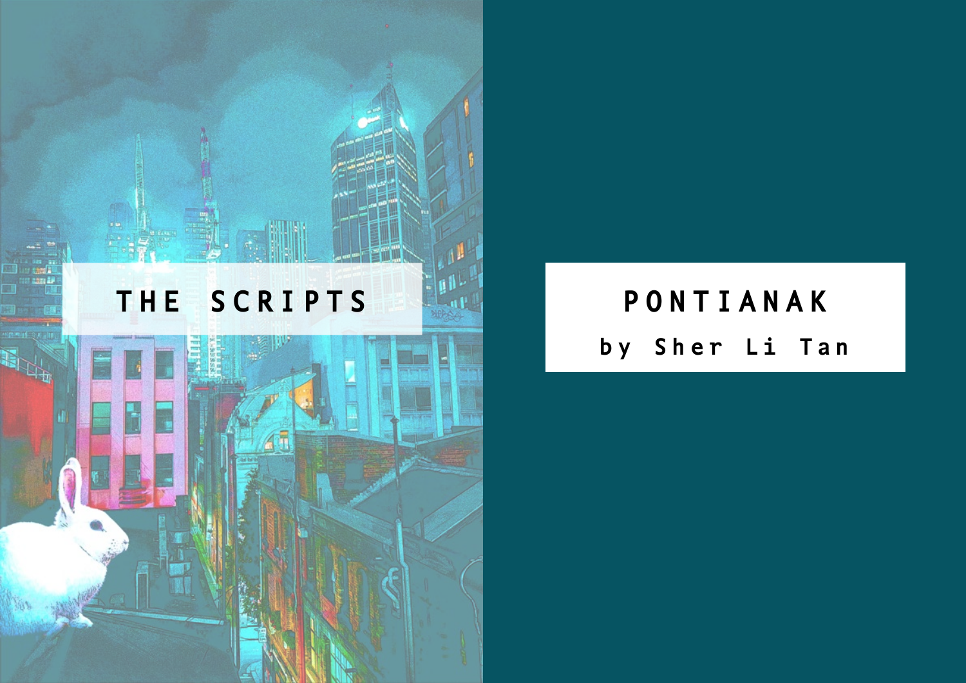# **THE SCRIPTS PONTIANAK**